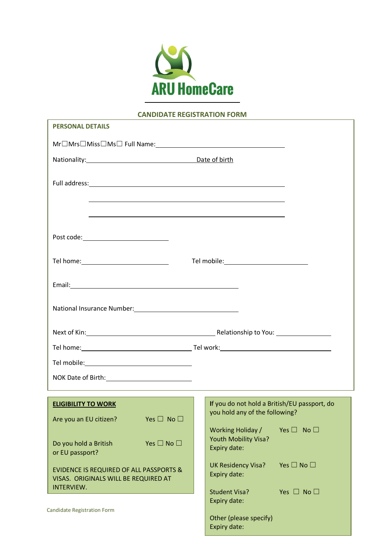

# **CANDIDATE REGISTRATION FORM**

ī

 $\overline{1}$ 

| <b>PERSONAL DETAILS</b>                                                                                         |                                                                                         |  |  |
|-----------------------------------------------------------------------------------------------------------------|-----------------------------------------------------------------------------------------|--|--|
|                                                                                                                 |                                                                                         |  |  |
| Nationality: Date of birth                                                                                      |                                                                                         |  |  |
|                                                                                                                 |                                                                                         |  |  |
| ,我们也不会有什么。""我们的人,我们也不会有什么?""我们的人,我们也不会有什么?""我们的人,我们也不会有什么?""我们的人,我们也不会有什么?""我们的人                                |                                                                                         |  |  |
| Post code: _____________________________                                                                        |                                                                                         |  |  |
|                                                                                                                 | Tel mobile: <u>_________________________</u>                                            |  |  |
|                                                                                                                 |                                                                                         |  |  |
| National Insurance Number: 1997                                                                                 |                                                                                         |  |  |
|                                                                                                                 |                                                                                         |  |  |
|                                                                                                                 |                                                                                         |  |  |
|                                                                                                                 |                                                                                         |  |  |
| NOK Date of Birth: 1990 1991                                                                                    |                                                                                         |  |  |
| <b>ELIGIBILITY TO WORK</b><br>Yes $\square$ No $\square$<br>Are you an EU citizen?                              | If you do not hold a British/EU passport, do<br>you hold any of the following?          |  |  |
| Yes $\square$ No $\square$<br>Do you hold a British<br>or EU passport?                                          | Working Holiday /<br>Yes $\square$ No $\square$<br>Youth Mobility Visa?<br>Expiry date: |  |  |
| <b>EVIDENCE IS REQUIRED OF ALL PASSPORTS &amp;</b><br>VISAS. ORIGINALS WILL BE REQUIRED AT<br><b>INTERVIEW.</b> | Yes $\square$ No $\square$<br><b>UK Residency Visa?</b><br>Expiry date:                 |  |  |
| Candidate Registration Form                                                                                     | Yes $\Box$ No $\Box$<br><b>Student Visa?</b><br>Expiry date:                            |  |  |
|                                                                                                                 | Other (please specify)<br>Expiry date:                                                  |  |  |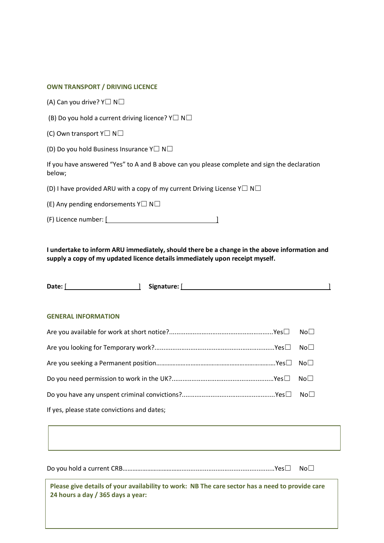## **OWN TRANSPORT / DRIVING LICENCE**

(A) Can you drive? Y☐ N☐

(B) Do you hold a current driving licence?  $Y\square N\square$ 

(C) Own transport  $Y\square N\square$ 

(D) Do you hold Business Insurance Y☐ N☐

If you have answered "Yes" to A and B above can you please complete and sign the declaration below;

(D) I have provided ARU with a copy of my current Driving License Y $\Box$  N $\Box$ 

(E) Any pending endorsements  $Y\square N\square$ 

(F) Licence number: [ ]

**I undertake to inform ARU immediately, should there be a change in the above information and supply a copy of my updated licence details immediately upon receipt myself.**

| Date:<br>Signature: I |  |
|-----------------------|--|
|                       |  |
|                       |  |

#### **GENERAL INFORMATION**

| If yes, please state convictions and dates; |  |
|---------------------------------------------|--|

Do you hold a current CRB………………………………....................................................Yes☐ No☐

**Please give details of your availability to work: NB The care sector has a need to provide care 24 hours a day / 365 days a year:**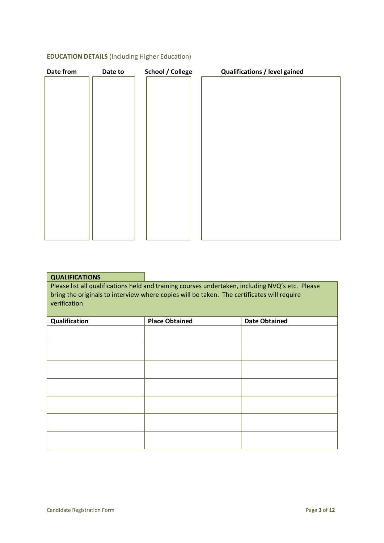# **EDUCATION DETAILS** (Including Higher Education)

| Date from | Date to | <b>School / College</b> | <b>Qualifications / level gained</b> |  |
|-----------|---------|-------------------------|--------------------------------------|--|
|           |         |                         |                                      |  |
|           |         |                         |                                      |  |
|           |         |                         |                                      |  |
|           |         |                         |                                      |  |
|           |         |                         |                                      |  |
|           |         |                         |                                      |  |
|           |         |                         |                                      |  |
|           |         |                         |                                      |  |
|           |         |                         |                                      |  |
|           |         |                         |                                      |  |
|           |         |                         |                                      |  |
|           |         |                         |                                      |  |
|           |         |                         |                                      |  |
|           |         |                         |                                      |  |
|           |         |                         |                                      |  |
|           |         |                         |                                      |  |
|           |         |                         |                                      |  |
|           |         |                         |                                      |  |
|           |         |                         |                                      |  |

| <b>QUALIFICATIONS</b>                                                                                                                                                                                           |                       |                      |  |
|-----------------------------------------------------------------------------------------------------------------------------------------------------------------------------------------------------------------|-----------------------|----------------------|--|
| Please list all qualifications held and training courses undertaken, including NVQ's etc. Please<br>bring the originals to interview where copies will be taken. The certificates will require<br>verification. |                       |                      |  |
| <b>Qualification</b>                                                                                                                                                                                            | <b>Place Obtained</b> | <b>Date Obtained</b> |  |
|                                                                                                                                                                                                                 |                       |                      |  |

| Qualification | <b>FIALE UNIQUIEU</b> | Dare Optallicu |
|---------------|-----------------------|----------------|
|               |                       |                |
|               |                       |                |
|               |                       |                |
|               |                       |                |
|               |                       |                |
|               |                       |                |
|               |                       |                |
|               |                       |                |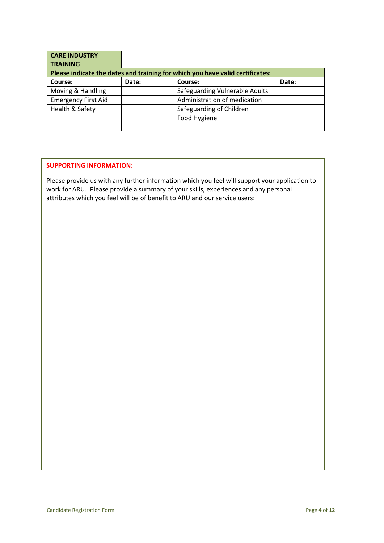| <b>CARE INDUSTRY</b>       |       |                                                                               |       |
|----------------------------|-------|-------------------------------------------------------------------------------|-------|
| <b>TRAINING</b>            |       |                                                                               |       |
|                            |       | Please indicate the dates and training for which you have valid certificates: |       |
| Course:                    | Date: | Course:                                                                       | Date: |
| Moving & Handling          |       | Safeguarding Vulnerable Adults                                                |       |
| <b>Emergency First Aid</b> |       | Administration of medication                                                  |       |
| Health & Safety            |       | Safeguarding of Children                                                      |       |
|                            |       | Food Hygiene                                                                  |       |
|                            |       |                                                                               |       |

# **SUPPORTING INFORMATION:**

Please provide us with any further information which you feel will support your application to work for ARU. Please provide a summary of your skills, experiences and any personal attributes which you feel will be of benefit to ARU and our service users: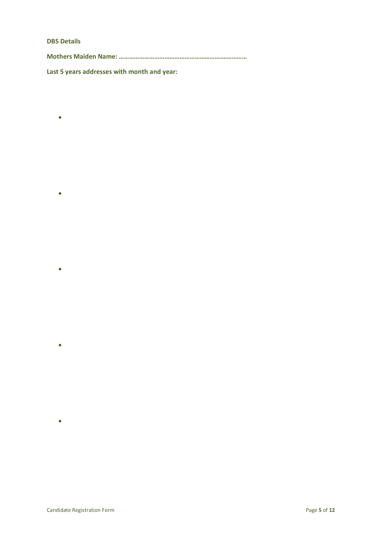# **DBS Details**

•

•

•

•

•

**Mothers Maiden Name: …………………………………………………….……………**

**Last 5 years addresses with month and year:**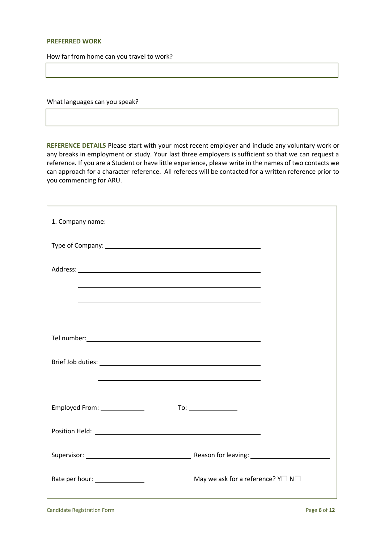## **PREFERRED WORK**

How far from home can you travel to work?

What languages can you speak?

**REFERENCE DETAILS** Please start with your most recent employer and include any voluntary work or any breaks in employment or study. Your last three employers is sufficient so that we can request a reference. If you are a Student or have little experience, please write in the names of two contacts we can approach for a character reference. All referees will be contacted for a written reference prior to you commencing for ARU.

| <u> 1989 - Johann Stoff, amerikansk politiker (* 1908)</u><br><u> 1989 - Jan James James Barnett, fransk politik (d. 1989)</u> |                                                                                                       |
|--------------------------------------------------------------------------------------------------------------------------------|-------------------------------------------------------------------------------------------------------|
|                                                                                                                                |                                                                                                       |
| Tel number: <u>www.community.community.community.com</u>                                                                       |                                                                                                       |
|                                                                                                                                |                                                                                                       |
| <u> 1989 - Johann Barn, mars ann an t-Amhain ann an t-Amhain ann an t-Amhain ann an t-Amhain an t-Amhain ann an t-</u>         |                                                                                                       |
| Employed From: _______________                                                                                                 | $To: \begin{tabular}{ c c c } \hline \quad \quad & \quad \quad & \quad \quad \\ \hline \end{tabular}$ |
|                                                                                                                                |                                                                                                       |
|                                                                                                                                |                                                                                                       |
| Rate per hour: _______________                                                                                                 | May we ask for a reference? $Y \square N \square$                                                     |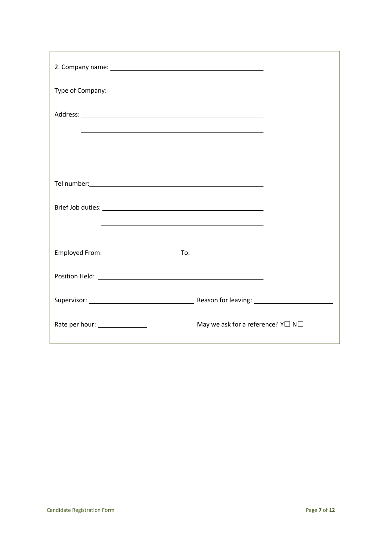| <u>and the state of the state of the state of the state of the state of the state of the state of the state of the state of the state of the state of the state of the state of the state of the state of the state of the state</u> |                                                   |
|--------------------------------------------------------------------------------------------------------------------------------------------------------------------------------------------------------------------------------------|---------------------------------------------------|
|                                                                                                                                                                                                                                      |                                                   |
| <u> 1989 - Johann Stoff, deutscher Stoff, der Stoff, der Stoff, der Stoff, der Stoff, der Stoff, der Stoff, der S</u>                                                                                                                |                                                   |
|                                                                                                                                                                                                                                      |                                                   |
| Employed From: ______________                                                                                                                                                                                                        |                                                   |
|                                                                                                                                                                                                                                      |                                                   |
|                                                                                                                                                                                                                                      |                                                   |
| Rate per hour: ________________                                                                                                                                                                                                      | May we ask for a reference? $Y \square N \square$ |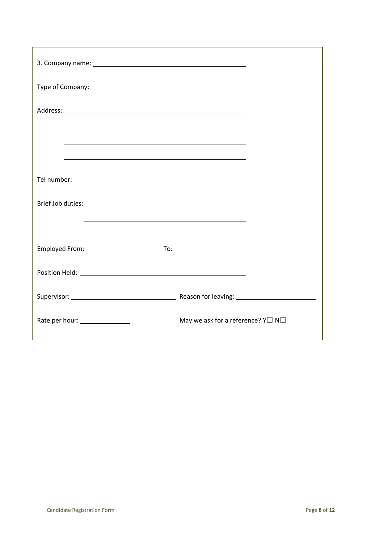| <u> 1989 - Johann Stoff, amerikansk politiker (* 1908)</u><br><u> 1989 - Johann Stoff, deutscher Stoff, der Stoff, der Stoff, der Stoff, der Stoff, der Stoff, der Stoff, der S</u>                                            |                                                                                                                                                                                                                                                                                                                                                                                                                             |
|--------------------------------------------------------------------------------------------------------------------------------------------------------------------------------------------------------------------------------|-----------------------------------------------------------------------------------------------------------------------------------------------------------------------------------------------------------------------------------------------------------------------------------------------------------------------------------------------------------------------------------------------------------------------------|
|                                                                                                                                                                                                                                |                                                                                                                                                                                                                                                                                                                                                                                                                             |
| Tel number: 1000 million and the contract of the contract of the contract of the contract of the contract of the contract of the contract of the contract of the contract of the contract of the contract of the contract of t |                                                                                                                                                                                                                                                                                                                                                                                                                             |
| the contract of the contract of the contract of the contract of the contract of the contract of the contract of                                                                                                                |                                                                                                                                                                                                                                                                                                                                                                                                                             |
| Employed From: _______________                                                                                                                                                                                                 | $\begin{picture}(20,20) \put(0,0){\dashbox{0.5}(5,0){ }} \thicklines \put(0,0){\dashbox{0.5}(5,0){ }} \thicklines \put(0,0){\dashbox{0.5}(5,0){ }} \thicklines \put(0,0){\dashbox{0.5}(5,0){ }} \thicklines \put(0,0){\dashbox{0.5}(5,0){ }} \thicklines \put(0,0){\dashbox{0.5}(5,0){ }} \thicklines \put(0,0){\dashbox{0.5}(5,0){ }} \thicklines \put(0,0){\dashbox{0.5}(5,0){ }} \thicklines \put(0,0){\dashbox{0.5}(5,$ |
|                                                                                                                                                                                                                                |                                                                                                                                                                                                                                                                                                                                                                                                                             |
|                                                                                                                                                                                                                                |                                                                                                                                                                                                                                                                                                                                                                                                                             |
| Rate per hour: _______________                                                                                                                                                                                                 | May we ask for a reference? $Y \square N \square$                                                                                                                                                                                                                                                                                                                                                                           |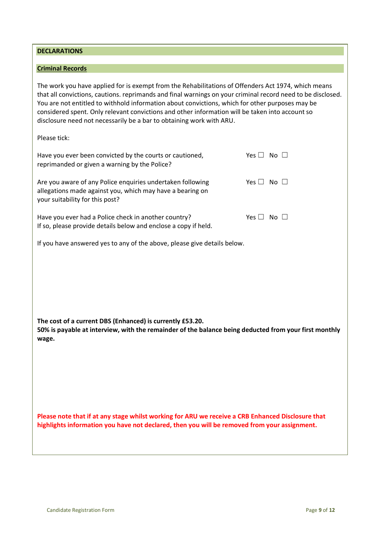your suitability for this post?

**DECLARATIONS** 

**Criminal Records** 

Please tick:

**50% is payable at interview, with the remainder of the balance being deducted from your first monthly wage.**

The work you have applied for is exempt from the Rehabilitations of Offenders Act 1974, which means that all convictions, cautions. reprimands and final warnings on your criminal record need to be disclosed.

You are not entitled to withhold information about convictions, which for other purposes may be considered spent. Only relevant convictions and other information will be taken into account so

Have you ever been convicted by the courts or cautioned,  $Yes \Box No \Box$ 

Are you aware of any Police enquiries undertaken following  $Yes \Box No \Box$ 

Have you ever had a Police check in another country?  $Yes \Box No \Box$ 

disclosure need not necessarily be a bar to obtaining work with ARU.

reprimanded or given a warning by the Police?

allegations made against you, which may have a bearing on

If so, please provide details below and enclose a copy if held.

If you have answered yes to any of the above, please give details below.

**Please note that if at any stage whilst working for ARU we receive a CRB Enhanced Disclosure that highlights information you have not declared, then you will be removed from your assignment.**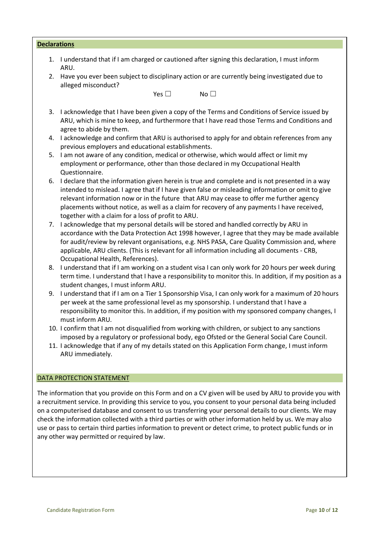| <b>Declarations</b> |                                                                                                                        |
|---------------------|------------------------------------------------------------------------------------------------------------------------|
| 1.                  | I understand that if I am charged or cautioned after signing this declaration, I must inform<br>ARU.                   |
| 2.                  | Have you ever been subject to disciplinary action or are currently being investigated due to<br>alleged misconduct?    |
|                     | Yes $\Box$<br>No <sub>1</sub>                                                                                          |
|                     |                                                                                                                        |
| 3.                  | I acknowledge that I have been given a copy of the Terms and Conditions of Service issued by                           |
|                     | ARU, which is mine to keep, and furthermore that I have read those Terms and Conditions and<br>agree to abide by them. |
| 4.                  | I acknowledge and confirm that ARU is authorised to apply for and obtain references from any                           |
|                     | previous employers and educational establishments.                                                                     |
|                     | 5. I am not aware of any condition, medical or otherwise, which would affect or limit my                               |
|                     | employment or performance, other than those declared in my Occupational Health                                         |
|                     | Questionnaire.                                                                                                         |
| 6.                  | I declare that the information given herein is true and complete and is not presented in a way                         |
|                     | intended to mislead I agree that if I have given false or misleading information or omit to give                       |

- en false or misleading inf relevant information now or in the future that ARU may cease to offer me further agency placements without notice, as well as a claim for recovery of any payments I have received, together with a claim for a loss of profit to ARU.
- 7. I acknowledge that my personal details will be stored and handled correctly by ARU in accordance with the Data Protection Act 1998 however, I agree that they may be made available for audit/review by relevant organisations, e.g. NHS PASA, Care Quality Commission and, where applicable, ARU clients. (This is relevant for all information including all documents - CRB, Occupational Health, References).
- 8. I understand that if I am working on a student visa I can only work for 20 hours per week during term time. I understand that I have a responsibility to monitor this. In addition, if my position as a student changes, I must inform ARU.
- 9. I understand that if I am on a Tier 1 Sponsorship Visa, I can only work for a maximum of 20 hours per week at the same professional level as my sponsorship. I understand that I have a responsibility to monitor this. In addition, if my position with my sponsored company changes, I must inform ARU.
- 10. I confirm that I am not disqualified from working with children, or subject to any sanctions imposed by a regulatory or professional body, ego Ofsted or the General Social Care Council.
- 11. I acknowledge that if any of my details stated on this Application Form change, I must inform ARU immediately.

# DATA PROTECTION STATEMENT

The information that you provide on this Form and on a CV given will be used by ARU to provide you with a recruitment service. In providing this service to you, you consent to your personal data being included on a computerised database and consent to us transferring your personal details to our clients. We may check the information collected with a third parties or with other information held by us. We may also use or pass to certain third parties information to prevent or detect crime, to protect public funds or in any other way permitted or required by law.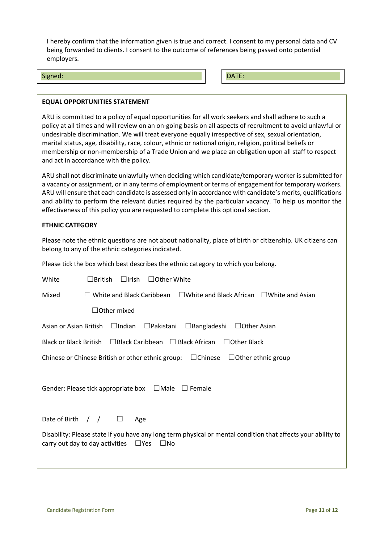I hereby confirm that the information given is true and correct. I consent to my personal data and CV being forwarded to clients. I consent to the outcome of references being passed onto potential employers.

#### Signed: **DATE:** DATE: **DATE:** DATE: **DATE:** DATE: DATE: DATE: DATE: DATE: DATE: DATE: DATE: DATE: DATE: DATE: DATE: DATE: DATE: DATE: DATE: DATE: DATE: DATE: DATE: DATE: DATE: DATE: DATE: DATE: DATE: DATE: DATE: DATE: DATE

# **EQUAL OPPORTUNITIES STATEMENT**

ARU is committed to a policy of equal opportunities for all work seekers and shall adhere to such a policy at all times and will review on an on-going basis on all aspects of recruitment to avoid unlawful or undesirable discrimination. We will treat everyone equally irrespective of sex, sexual orientation, marital status, age, disability, race, colour, ethnic or national origin, religion, political beliefs or membership or non-membership of a Trade Union and we place an obligation upon all staff to respect and act in accordance with the policy.

ARU shall not discriminate unlawfully when deciding which candidate/temporary worker is submitted for a vacancy or assignment, or in any terms of employment or terms of engagement for temporary workers. ARU will ensure that each candidate is assessed only in accordance with candidate's merits, qualifications and ability to perform the relevant duties required by the particular vacancy. To help us monitor the effectiveness of this policy you are requested to complete this optional section.

# **ETHNIC CATEGORY**

Please note the ethnic questions are not about nationality, place of birth or citizenship. UK citizens can belong to any of the ethnic categories indicated.

Please tick the box which best describes the ethnic category to which you belong.

| $\Box$ Irish<br>$\Box$ Other White<br>$\Box$ British<br>White                                                                                                              |  |
|----------------------------------------------------------------------------------------------------------------------------------------------------------------------------|--|
| White and Black Caribbean<br>$\Box$ White and Black African $\Box$ White and Asian<br>Mixed                                                                                |  |
| <b>Other mixed</b>                                                                                                                                                         |  |
| $\Box$ Bangladeshi<br>Asian or Asian British<br>$\Box$ Indian<br>$\Box$ Pakistani<br>$\Box$ Other Asian                                                                    |  |
| Black or Black British $\Box$ Black Caribbean $\Box$ Black African<br>$\Box$ Other Black                                                                                   |  |
| Chinese or Chinese British or other ethnic group: $\Box$ Chinese<br>$\Box$ Other ethnic group                                                                              |  |
| $\square$ Male<br>Gender: Please tick appropriate box<br>$\Box$ Female                                                                                                     |  |
| Date of Birth $/$ /<br>$\Box$<br>Age                                                                                                                                       |  |
| Disability: Please state if you have any long term physical or mental condition that affects your ability to<br>$\Box$ Yes<br>carry out day to day activities<br>$\Box$ No |  |